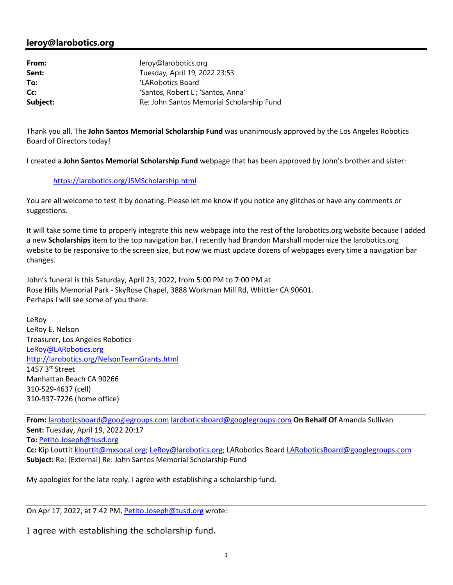## **leroy@larobotics.org**

| From:    | leroy@larobotics.org                      |
|----------|-------------------------------------------|
| Sent:    | Tuesday, April 19, 2022 23:53             |
| To:      | 'LARobotics Board'                        |
| Cc:      | 'Santos, Robert L'; 'Santos, Anna'        |
| Subject: | Re: John Santos Memorial Scholarship Fund |

Thank you all. The **John Santos Memorial Scholarship Fund** was unanimously approved by the Los Angeles Robotics Board of Directors today!

I created a **John Santos Memorial Scholarship Fund** webpage that has been approved by John's brother and sister:

## https://larobotics.org/JSMScholarship.html

You are all welcome to test it by donating. Please let me know if you notice any glitches or have any comments or suggestions.

It will take some time to properly integrate this new webpage into the rest of the larobotics.org website because I added a new **Scholarships** item to the top navigation bar. I recently had Brandon Marshall modernize the larobotics.org website to be responsive to the screen size, but now we must update dozens of webpages every time a navigation bar changes.

John's funeral is this Saturday, April 23, 2022, from 5:00 PM to 7:00 PM at Rose Hills Memorial Park - SkyRose Chapel, 3888 Workman Mill Rd, Whittier CA 90601. Perhaps I will see some of you there.

LeRoy LeRoy E. Nelson Treasurer, Los Angeles Robotics LeRoy@LARobotics.org http://larobotics.org/NelsonTeamGrants.html 1457 3rd Street Manhattan Beach CA 90266 310-529-4637 (cell) 310-937-7226 (home office)

**From:** laroboticsboard@googlegroups.com laroboticsboard@googlegroups.com **On Behalf Of** Amanda Sullivan **Sent:** Tuesday, April 19, 2022 20:17 **To:** Petito.Joseph@tusd.org **Cc:** Kip Louttit klouttit@mxsocal.org; LeRoy@larobotics.org; LARobotics Board LARoboticsBoard@googlegroups.com **Subject:** Re: [External] Re: John Santos Memorial Scholarship Fund

My apologies for the late reply. I agree with establishing a scholarship fund.

On Apr 17, 2022, at 7:42 PM, Petito.Joseph@tusd.org wrote:

I agree with establishing the scholarship fund.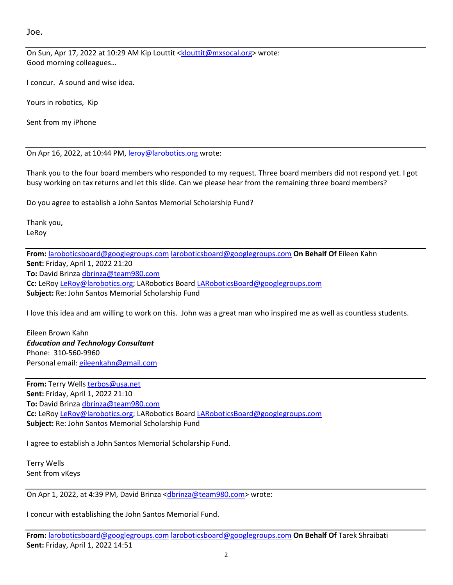Joe.

On Sun, Apr 17, 2022 at 10:29 AM Kip Louttit <klouttit@mxsocal.org> wrote: Good morning colleagues…

I concur. A sound and wise idea.

Yours in robotics, Kip

Sent from my iPhone

On Apr 16, 2022, at 10:44 PM, leroy@larobotics.org wrote:

Thank you to the four board members who responded to my request. Three board members did not respond yet. I got busy working on tax returns and let this slide. Can we please hear from the remaining three board members?

Do you agree to establish a John Santos Memorial Scholarship Fund?

Thank you, LeRoy

**From:** laroboticsboard@googlegroups.com laroboticsboard@googlegroups.com **On Behalf Of** Eileen Kahn **Sent:** Friday, April 1, 2022 21:20 **To:** David Brinza dbrinza@team980.com **Cc:** LeRoy LeRoy@larobotics.org; LARobotics Board LARoboticsBoard@googlegroups.com **Subject:** Re: John Santos Memorial Scholarship Fund

I love this idea and am willing to work on this. John was a great man who inspired me as well as countless students.

Eileen Brown Kahn *Education and Technology Consultant* Phone: 310-560-9960 Personal email: eileenkahn@gmail.com

**From:** Terry Wells terbos@usa.net **Sent:** Friday, April 1, 2022 21:10 **To:** David Brinza dbrinza@team980.com **Cc:** LeRoy LeRoy@larobotics.org; LARobotics Board LARoboticsBoard@googlegroups.com **Subject:** Re: John Santos Memorial Scholarship Fund

I agree to establish a John Santos Memorial Scholarship Fund.

Terry Wells Sent from vKeys

On Apr 1, 2022, at 4:39 PM, David Brinza <dbrinza@team980.com> wrote:

I concur with establishing the John Santos Memorial Fund.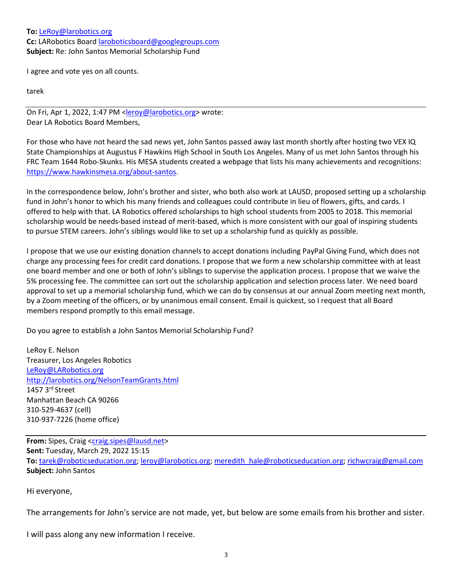## **To:** LeRoy@larobotics.org **Cc:** LARobotics Board laroboticsboard@googlegroups.com **Subject:** Re: John Santos Memorial Scholarship Fund

I agree and vote yes on all counts.

tarek

On Fri, Apr 1, 2022, 1:47 PM <leroy@larobotics.org> wrote: Dear LA Robotics Board Members,

For those who have not heard the sad news yet, John Santos passed away last month shortly after hosting two VEX IQ State Championships at Augustus F Hawkins High School in South Los Angeles. Many of us met John Santos through his FRC Team 1644 Robo-Skunks. His MESA students created a webpage that lists his many achievements and recognitions: https://www.hawkinsmesa.org/about-santos.

In the correspondence below, John's brother and sister, who both also work at LAUSD, proposed setting up a scholarship fund in John's honor to which his many friends and colleagues could contribute in lieu of flowers, gifts, and cards. I offered to help with that. LA Robotics offered scholarships to high school students from 2005 to 2018. This memorial scholarship would be needs-based instead of merit-based, which is more consistent with our goal of inspiring students to pursue STEM careers. John's siblings would like to set up a scholarship fund as quickly as possible.

I propose that we use our existing donation channels to accept donations including PayPal Giving Fund, which does not charge any processing fees for credit card donations. I propose that we form a new scholarship committee with at least one board member and one or both of John's siblings to supervise the application process. I propose that we waive the 5% processing fee. The committee can sort out the scholarship application and selection process later. We need board approval to set up a memorial scholarship fund, which we can do by consensus at our annual Zoom meeting next month, by a Zoom meeting of the officers, or by unanimous email consent. Email is quickest, so I request that all Board members respond promptly to this email message.

Do you agree to establish a John Santos Memorial Scholarship Fund?

LeRoy E. Nelson Treasurer, Los Angeles Robotics LeRoy@LARobotics.org http://larobotics.org/NelsonTeamGrants.html 1457 3rd Street Manhattan Beach CA 90266 310-529-4637 (cell) 310-937-7226 (home office)

From: Sipes, Craig <craig.sipes@lausd.net> **Sent:** Tuesday, March 29, 2022 15:15 **To:** tarek@roboticseducation.org; leroy@larobotics.org; meredith\_hale@roboticseducation.org; richwcraig@gmail.com **Subject:** John Santos

Hi everyone,

The arrangements for John's service are not made, yet, but below are some emails from his brother and sister.

I will pass along any new information I receive.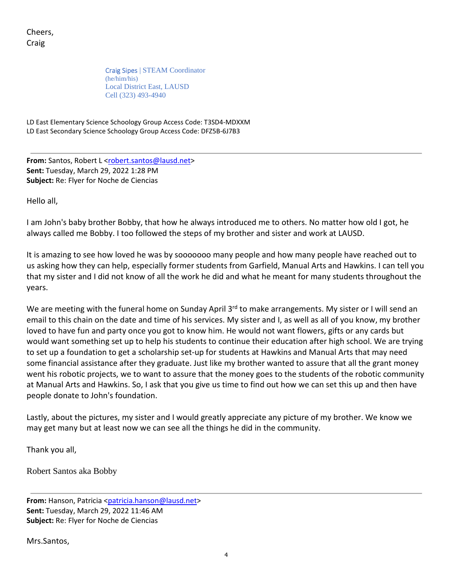Cheers, Craig

> Craig Sipes | STEAM Coordinator (he/him/his) Local District East, LAUSD Cell (323) 493-4940

LD East Elementary Science Schoology Group Access Code: T3SD4-MDXXM LD East Secondary Science Schoology Group Access Code: DFZ5B-6J7B3

**From:** Santos, Robert L <robert.santos@lausd.net> **Sent:** Tuesday, March 29, 2022 1:28 PM **Subject:** Re: Flyer for Noche de Ciencias

Hello all,

I am John's baby brother Bobby, that how he always introduced me to others. No matter how old I got, he always called me Bobby. I too followed the steps of my brother and sister and work at LAUSD.

It is amazing to see how loved he was by sooooooo many people and how many people have reached out to us asking how they can help, especially former students from Garfield, Manual Arts and Hawkins. I can tell you that my sister and I did not know of all the work he did and what he meant for many students throughout the years.

We are meeting with the funeral home on Sunday April 3<sup>rd</sup> to make arrangements. My sister or I will send an email to this chain on the date and time of his services. My sister and I, as well as all of you know, my brother loved to have fun and party once you got to know him. He would not want flowers, gifts or any cards but would want something set up to help his students to continue their education after high school. We are trying to set up a foundation to get a scholarship set-up for students at Hawkins and Manual Arts that may need some financial assistance after they graduate. Just like my brother wanted to assure that all the grant money went his robotic projects, we to want to assure that the money goes to the students of the robotic community at Manual Arts and Hawkins. So, I ask that you give us time to find out how we can set this up and then have people donate to John's foundation.

Lastly, about the pictures, my sister and I would greatly appreciate any picture of my brother. We know we may get many but at least now we can see all the things he did in the community.

Thank you all,

Robert Santos aka Bobby

**From:** Hanson, Patricia <patricia.hanson@lausd.net> **Sent:** Tuesday, March 29, 2022 11:46 AM **Subject:** Re: Flyer for Noche de Ciencias

Mrs.Santos,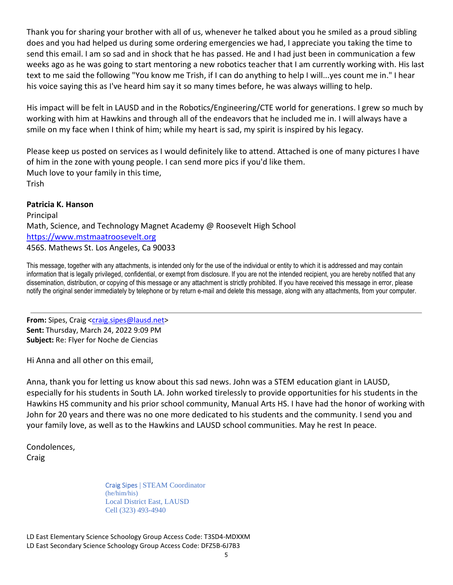Thank you for sharing your brother with all of us, whenever he talked about you he smiled as a proud sibling does and you had helped us during some ordering emergencies we had, I appreciate you taking the time to send this email. I am so sad and in shock that he has passed. He and I had just been in communication a few weeks ago as he was going to start mentoring a new robotics teacher that I am currently working with. His last text to me said the following "You know me Trish, if I can do anything to help I will...yes count me in." I hear his voice saying this as I've heard him say it so many times before, he was always willing to help.

His impact will be felt in LAUSD and in the Robotics/Engineering/CTE world for generations. I grew so much by working with him at Hawkins and through all of the endeavors that he included me in. I will always have a smile on my face when I think of him; while my heart is sad, my spirit is inspired by his legacy.

Please keep us posted on services as I would definitely like to attend. Attached is one of many pictures I have of him in the zone with young people. I can send more pics if you'd like them. Much love to your family in this time, Trish

## **Patricia K. Hanson**

Principal Math, Science, and Technology Magnet Academy @ Roosevelt High School https://www.mstmaatroosevelt.org 456S. Mathews St. Los Angeles, Ca 90033

This message, together with any attachments, is intended only for the use of the individual or entity to which it is addressed and may contain information that is legally privileged, confidential, or exempt from disclosure. If you are not the intended recipient, you are hereby notified that any dissemination, distribution, or copying of this message or any attachment is strictly prohibited. If you have received this message in error, please notify the original sender immediately by telephone or by return e-mail and delete this message, along with any attachments, from your computer.

From: Sipes, Craig <craig.sipes@lausd.net> **Sent:** Thursday, March 24, 2022 9:09 PM **Subject:** Re: Flyer for Noche de Ciencias

Hi Anna and all other on this email,

Anna, thank you for letting us know about this sad news. John was a STEM education giant in LAUSD, especially for his students in South LA. John worked tirelessly to provide opportunities for his students in the Hawkins HS community and his prior school community, Manual Arts HS. I have had the honor of working with John for 20 years and there was no one more dedicated to his students and the community. I send you and your family love, as well as to the Hawkins and LAUSD school communities. May he rest In peace.

Condolences, **Craig** 

> Craig Sipes | STEAM Coordinator (he/him/his) Local District East, LAUSD Cell (323) 493-4940

LD East Elementary Science Schoology Group Access Code: T3SD4-MDXXM LD East Secondary Science Schoology Group Access Code: DFZ5B-6J7B3